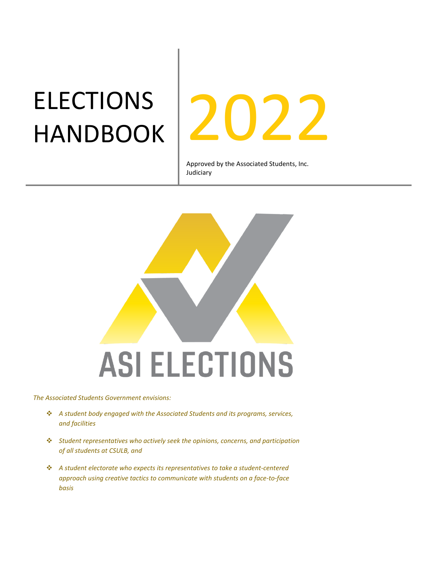# ELECTIONS



Approved by the Associated Students, Inc. Judiciary



*The Associated Students Government envisions:*

- *A student body engaged with the Associated Students and its programs, services, and facilities*
- *Student representatives who actively seek the opinions, concerns, and participation of all students at CSULB, and*
- *A student electorate who expects its representatives to take a student-centered approach using creative tactics to communicate with students on a face-to-face basis*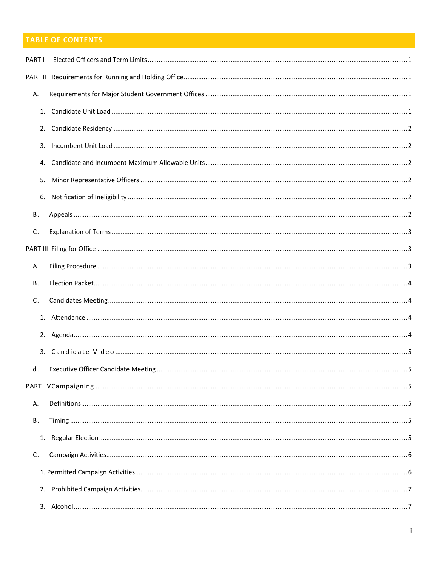# TABLE OF CONTENTS

| PART I    |  |
|-----------|--|
|           |  |
| А.        |  |
|           |  |
| 2.        |  |
|           |  |
|           |  |
| 5.        |  |
| 6.        |  |
| В.        |  |
| C.        |  |
|           |  |
| Α.        |  |
| <b>B.</b> |  |
| C.        |  |
|           |  |
|           |  |
|           |  |
| d.        |  |
|           |  |
| Α.        |  |
| В.        |  |
|           |  |
| C.        |  |
|           |  |
|           |  |
|           |  |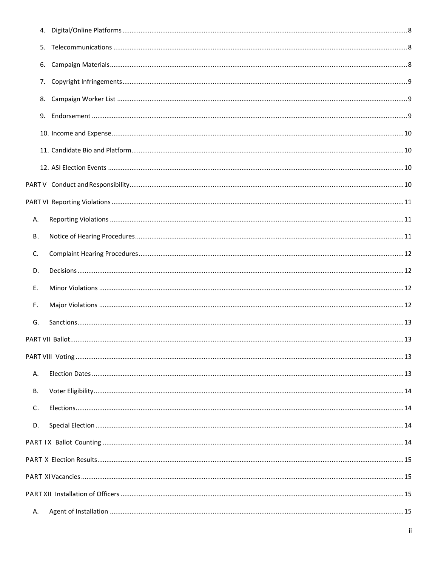| Α. |  |
|----|--|
| В. |  |
| C. |  |
| D. |  |
| E. |  |
| F. |  |
| G. |  |
|    |  |
|    |  |
| Α. |  |
| В. |  |
| C. |  |
| D. |  |
|    |  |
|    |  |
|    |  |
|    |  |
| А. |  |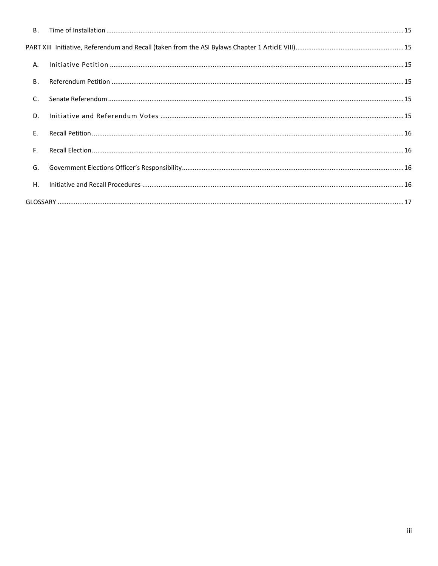| A. |  |
|----|--|
| В. |  |
| C. |  |
| D. |  |
| E. |  |
| F. |  |
| G. |  |
| Η. |  |
|    |  |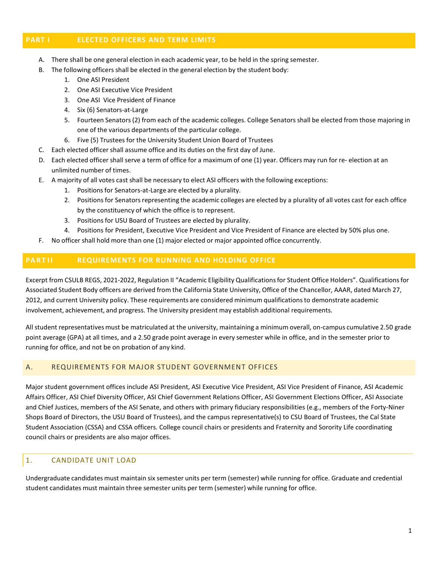#### <span id="page-4-0"></span>**PART I ELECTED OFFICERS AND TERM LIMITS**

- A. There shall be one general election in each academic year, to be held in the spring semester.
- B. The following officers shall be elected in the general election by the student body:
	- 1. One ASI President
	- 2. One ASI Executive Vice President
	- 3. One ASI Vice President of Finance
	- 4. Six (6) Senators-at-Large
	- 5. Fourteen Senators(2) from each of the academic colleges. College Senators shall be elected from those majoring in one of the various departments of the particular college.
	- 6. Five (5) Trustees for the University Student Union Board of Trustees
- C. Each elected officer shall assume office and its duties on the first day of June.
- D. Each elected officer shall serve a term of office for a maximum of one (1) year. Officers may run for re- election at an unlimited number of times.
- E. A majority of all votes cast shall be necessary to elect ASI officers with the following exceptions:
	- 1. Positionsfor Senators-at-Large are elected by a plurality.
	- 2. Positions for Senators representing the academic colleges are elected by a plurality of all votes cast for each office by the constituency of which the office is to represent.
	- 3. Positions for USU Board of Trustees are elected by plurality.
	- 4. Positions for President, Executive Vice President and Vice President of Finance are elected by 50% plus one.
- F. No officer shall hold more than one (1) major elected or major appointed office concurrently.

## <span id="page-4-1"></span>**PART I I REQUIREMENTS FOR RUNNING AND HOLDING OFFICE**

Excerpt from CSULB REGS, 2021-2022, Regulation II "Academic Eligibility Qualificationsfor Student Office Holders". Qualificationsfor Associated Student Body officers are derived from the California State University, Office of the Chancellor, AAAR, dated March 27, 2012, and current University policy. These requirements are considered minimum qualifications to demonstrate academic involvement, achievement, and progress. The University president may establish additional requirements.

All student representatives must be matriculated at the university, maintaining a minimum overall, on-campus cumulative 2.50 grade point average (GPA) at all times, and a 2.50 grade point average in every semester while in office, and in the semester prior to running for office, and not be on probation of any kind.

## <span id="page-4-2"></span>A. REQUIREMENTS FOR MAJOR STUDENT GOVERNMENT OFFICES

Major student government offices include ASI President, ASI Executive Vice President, ASI Vice President of Finance, ASI Academic Affairs Officer, ASI Chief Diversity Officer, ASI Chief Government Relations Officer, ASI Government Elections Officer, ASI Associate and Chief Justices, members of the ASI Senate, and others with primary fiduciary responsibilities (e.g., members of the Forty-Niner Shops Board of Directors, the USU Board of Trustees), and the campus representative(s) to CSU Board of Trustees, the Cal State Student Association (CSSA) and CSSA officers. College council chairs or presidents and Fraternity and Sorority Life coordinating council chairs or presidents are also major offices.

# <span id="page-4-3"></span>1. CANDIDATE UNIT LOAD

Undergraduate candidates must maintain six semester units per term (semester) while running for office. Graduate and credential student candidates must maintain three semester units per term (semester) while running for office.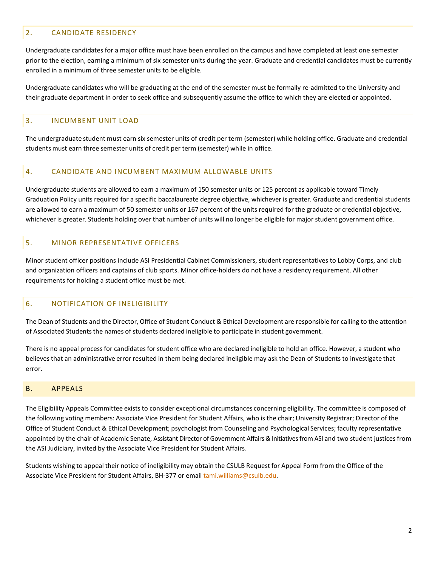# <span id="page-5-0"></span>2. CANDIDATE RESIDENCY

Undergraduate candidates for a major office must have been enrolled on the campus and have completed at least one semester prior to the election, earning a minimum of six semester units during the year. Graduate and credential candidates must be currently enrolled in a minimum of three semester units to be eligible.

Undergraduate candidates who will be graduating at the end of the semester must be formally re-admitted to the University and their graduate department in order to seek office and subsequently assume the office to which they are elected or appointed.

#### <span id="page-5-1"></span>3. INCUMBENT UNIT LOAD

The undergraduate student must earn six semester units of credit per term (semester) while holding office. Graduate and credential students must earn three semester units of credit per term (semester) while in office.

#### <span id="page-5-2"></span>4. CANDIDATE AND INCUMBENT MAXIMUM ALLOWABLE UNITS

Undergraduate students are allowed to earn a maximum of 150 semester units or 125 percent as applicable toward Timely Graduation Policy units required for a specific baccalaureate degree objective, whichever is greater. Graduate and credential students are allowed to earn a maximum of 50 semester units or 167 percent of the units required for the graduate or credential objective, whichever is greater. Students holding over that number of units will no longer be eligible for major student government office.

## <span id="page-5-3"></span>5. MINOR REPRESENTATIVE OFFICERS

Minor student officer positions include ASI Presidential Cabinet Commissioners, student representatives to Lobby Corps, and club and organization officers and captains of club sports. Minor office-holders do not have a residency requirement. All other requirements for holding a student office must be met.

## <span id="page-5-4"></span>6. NOTIFICATION OF INELIGIBILITY

The Dean of Students and the Director, Office of Student Conduct & Ethical Development are responsible for calling to the attention of Associated Students the names of students declared ineligible to participate in student government.

There is no appeal processfor candidatesfor student office who are declared ineligible to hold an office. However, a student who believesthat an administrative error resulted in them being declared ineligible may ask the Dean of Students to investigate that error.

#### <span id="page-5-5"></span>B. APPEALS

The Eligibility Appeals Committee exists to consider exceptional circumstances concerning eligibility. The committee is composed of the following voting members: Associate Vice President for Student Affairs, who is the chair; University Registrar; Director of the Office of Student Conduct & Ethical Development; psychologist from Counseling and Psychological Services; faculty representative appointed by the chair of Academic Senate, Assistant Director of Government Affairs & Initiatives from ASI and two student justices from the ASI Judiciary, invited by the Associate Vice President for Student Affairs.

Students wishing to appeal their notice of ineligibility may obtain the CSULB Request for Appeal Form from the Office of the Associate Vice President for Student Affairs, BH-377 or email tami.williams@csulb.edu.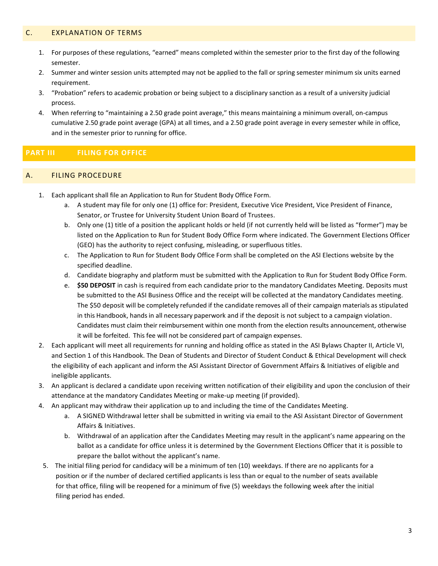#### <span id="page-6-0"></span>C. EXPLANATION OF TERMS

- 1. For purposes of these regulations, "earned" means completed within the semester prior to the first day of the following semester.
- 2. Summer and winter session units attempted may not be applied to the fall or spring semester minimum six units earned requirement.
- 3. "Probation" refers to academic probation or being subject to a disciplinary sanction as a result of a university judicial process.
- 4. When referring to "maintaining a 2.50 grade point average," this means maintaining a minimum overall, on-campus cumulative 2.50 grade point average (GPA) at all times, and a 2.50 grade point average in every semester while in office, and in the semester prior to running for office.

## <span id="page-6-1"></span>**PART III FILING FOR OFFICE**

#### <span id="page-6-2"></span>A. FILING PROCEDURE

- 1. Each applicant shall file an Application to Run for Student Body Office Form.
	- a. A student may file for only one (1) office for: President, Executive Vice President, Vice President of Finance, Senator, or Trustee for University Student Union Board of Trustees.
	- b. Only one (1) title of a position the applicant holds or held (if not currently held will be listed as "former") may be listed on the Application to Run for Student Body Office Form where indicated. The Government Elections Officer (GEO) has the authority to reject confusing, misleading, or superfluous titles.
	- c. The Application to Run for Student Body Office Form shall be completed on the ASI Elections website by the specified deadline.
	- d. Candidate biography and platform must be submitted with the Application to Run for Student Body Office Form.
	- e. **\$50 DEPOSIT** in cash is required from each candidate prior to the mandatory Candidates Meeting. Deposits must be submitted to the ASI Business Office and the receipt will be collected at the mandatory Candidates meeting. The \$50 deposit will be completely refunded if the candidate removes all of their campaign materials as stipulated in this Handbook, hands in all necessary paperwork and if the deposit is not subject to a campaign violation. Candidates must claim their reimbursement within one month from the election results announcement, otherwise it will be forfeited. This fee will not be considered part of campaign expenses.
- 2. Each applicant will meet all requirements for running and holding office as stated in the ASI Bylaws Chapter II, Article VI, and Section 1 of this Handbook. The Dean of Students and Director of Student Conduct & Ethical Development will check the eligibility of each applicant and inform the ASI Assistant Director of Government Affairs & Initiatives of eligible and ineligible applicants.
- 3. An applicant is declared a candidate upon receiving written notification of their eligibility and upon the conclusion of their attendance at the mandatory Candidates Meeting or make-up meeting (if provided).
- 4. An applicant may withdraw their application up to and including the time of the Candidates Meeting.
	- a. A SIGNED Withdrawal letter shall be submitted in writing via email to the ASI Assistant Director of Government Affairs & Initiatives.
	- b. Withdrawal of an application after the Candidates Meeting may result in the applicant's name appearing on the ballot as a candidate for office unless it is determined by the Government Elections Officer that it is possible to prepare the ballot without the applicant's name.
- 5. The initial filing period for candidacy will be a minimum of ten (10) weekdays. If there are no applicants for a position or if the number of declared certified applicants is less than or equal to the number of seats available for that office, filing will be reopened for a minimum of five (5) weekdays the following week after the initial filing period has ended.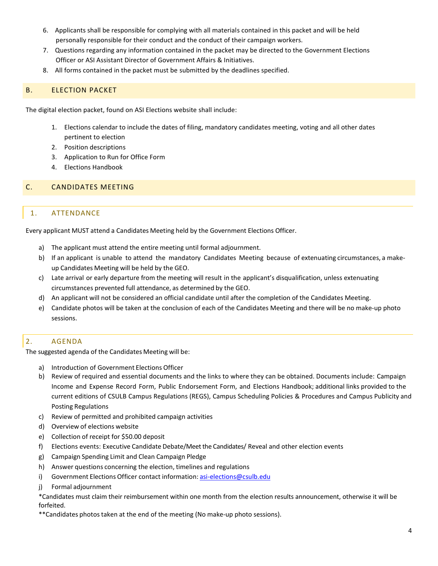- 6. Applicants shall be responsible for complying with all materials contained in this packet and will be held personally responsible for their conduct and the conduct of their campaign workers.
- 7. Questions regarding any information contained in the packet may be directed to the Government Elections Officer or ASI Assistant Director of Government Affairs & Initiatives.
- 8. All forms contained in the packet must be submitted by the deadlines specified.

# <span id="page-7-0"></span>B. ELECTION PACKET

The digital election packet, found on ASI Elections website shall include:

- 1. Elections calendar to include the dates of filing, mandatory candidates meeting, voting and all other dates pertinent to election
- 2. Position descriptions
- 3. Application to Run for Office Form
- 4. Elections Handbook

#### <span id="page-7-2"></span><span id="page-7-1"></span>C. CANDIDATES MEETING

## 1. ATTENDANCE

Every applicant MUST attend a Candidates Meeting held by the Government Elections Officer.

- a) The applicant must attend the entire meeting until formal adjournment.
- b) If an applicant is unable to attend the mandatory Candidates Meeting because of extenuating circumstances, a makeup Candidates Meeting will be held by the GEO.
- c) Late arrival or early departure from the meeting will result in the applicant's disqualification, unless extenuating circumstances prevented full attendance, as determined by the GEO.
- d) An applicant will not be considered an official candidate until after the completion of the Candidates Meeting.
- e) Candidate photos will be taken at the conclusion of each of the Candidates Meeting and there will be no make-up photo sessions.

## <span id="page-7-3"></span>2. AGENDA

The suggested agenda of the Candidates Meeting will be:

- a) Introduction of Government Elections Officer
- b) Review of required and essential documents and the links to where they can be obtained. Documents include: Campaign Income and Expense Record Form, Public Endorsement Form, and Elections Handbook; additional links provided to the current editions of CSULB Campus Regulations (REGS), Campus Scheduling Policies & Procedures and Campus Publicity and Posting Regulations
- c) Review of permitted and prohibited campaign activities
- d) Overview of elections website
- e) Collection of receipt for \$50.00 deposit
- f) Elections events: Executive Candidate Debate/Meet the Candidates/ Reveal and other election events
- g) Campaign Spending Limit and Clean Campaign Pledge
- h) Answer questions concerning the election, timelines and regulations
- i) Government Elections Officer contact information: [asi-elections@csulb.edu](mailto:asi-elections@csulb.edu)
- j) Formal adjournment

\*Candidates must claim their reimbursement within one month from the election results announcement, otherwise it will be forfeited.

\*\*Candidates photos taken at the end of the meeting (No make-up photo sessions).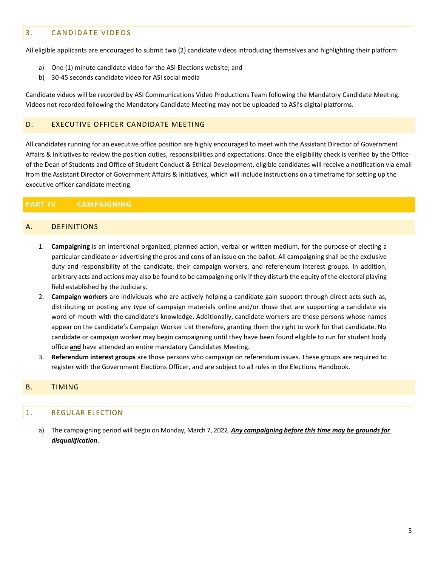# <span id="page-8-0"></span>3. CANDIDATE VIDEOS

All eligible applicants are encouraged to submit two (2) candidate videos introducing themselves and highlighting their platform:

- a) One (1) minute candidate video for the ASI Elections website; and
- b) 30-45 seconds candidate video for ASI social media

Candidate videos will be recorded by ASI Communications Video Productions Team following the Mandatory Candidate Meeting. Videos not recorded following the Mandatory Candidate Meeting may not be uploaded to ASI's digital platforms.

#### <span id="page-8-1"></span>D. EXECUTIVE OFFICER CANDIDATE MEETING

All candidates running for an executive office position are highly encouraged to meet with the Assistant Director of Government Affairs & Initiatives to review the position duties, responsibilities and expectations. Once the eligibility check is verified by the Office of the Dean of Students and Office of Student Conduct & Ethical Development, eligible candidates will receive a notification via email from the Assistant Director of Government Affairs & Initiatives, which will include instructions on a timeframe for setting up the executive officer candidate meeting.

# <span id="page-8-2"></span>**PART IV CAMPAIGNING**

#### <span id="page-8-3"></span>A. DEFINITIONS

- 1. **Campaigning** is an intentional organized, planned action, verbal or written medium, for the purpose of electing a particular candidate or advertising the pros and cons of an issue on the ballot. All campaigning shall be the exclusive duty and responsibility of the candidate, their campaign workers, and referendum interest groups. In addition, arbitrary acts and actions may also be found to be campaigning only if they disturb the equity of the electoral playing field established by the Judiciary.
- 2. **Campaign workers** are individuals who are actively helping a candidate gain support through direct acts such as, distributing or posting any type of campaign materials online and/or those that are supporting a candidate via word-of-mouth with the candidate's knowledge. Additionally, candidate workers are those persons whose names appear on the candidate's Campaign Worker List therefore, granting them the right to work for that candidate. No candidate or campaign worker may begin campaigning until they have been found eligible to run for student body office **and** have attended an entire mandatory Candidates Meeting.
- 3. **Referendum interest groups** are those persons who campaign on referendum issues. These groups are required to register with the Government Elections Officer, and are subject to all rules in the Elections Handbook.

#### <span id="page-8-5"></span><span id="page-8-4"></span>B. TIMING

## 1. REGULAR ELECTION

a) The campaigning period will begin on Monday, March 7, 2022. *Any campaigning before this time may be grounds for disqualification*.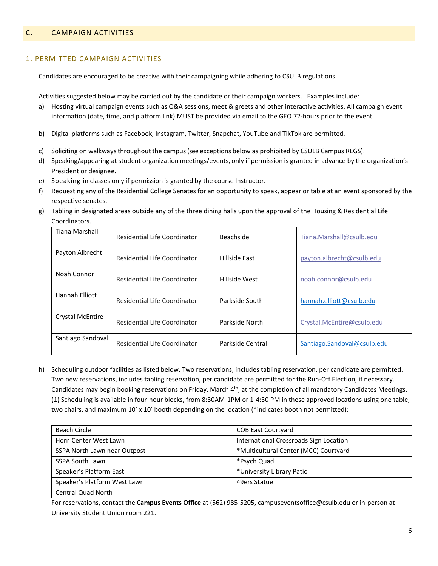# <span id="page-9-1"></span><span id="page-9-0"></span>1. PERMITTED CAMPAIGN ACTIVITIES

Candidates are encouraged to be creative with their campaigning while adhering to CSULB regulations.

Activities suggested below may be carried out by the candidate or their campaign workers. Examples include:

- a) Hosting virtual campaign events such as Q&A sessions, meet & greets and other interactive activities. All campaign event information (date, time, and platform link) MUST be provided via email to the GEO 72-hours prior to the event.
- b) Digital platforms such as Facebook, Instagram, Twitter, Snapchat, YouTube and TikTok are permitted.
- c) Soliciting on walkwaysthroughout the campus(see exceptions below as prohibited by CSULB Campus REGS).
- d) Speaking/appearing at student organization meetings/events, only if permission is granted in advance by the organization's President or designee.
- e) Speaking in classes only if permission is granted by the course Instructor.
- f) Requesting any of the Residential College Senates for an opportunity to speak, appear or table at an event sponsored by the respective senates.
- g) Tabling in designated areas outside any of the three dining halls upon the approval of the Housing & Residential Life Coordinators.

| Tiana Marshall    | Residential Life Coordinator        | Beachside        | Tiana.Marshall@csulb.edu    |
|-------------------|-------------------------------------|------------------|-----------------------------|
| Payton Albrecht   | <b>Residential Life Coordinator</b> | Hillside East    | payton.albrecht@csulb.edu   |
| Noah Connor       | <b>Residential Life Coordinator</b> | Hillside West    | noah.connor@csulb.edu       |
| Hannah Elliott    | Residential Life Coordinator        | Parkside South   | hannah.elliott@csulb.edu    |
| Crystal McEntire  | Residential Life Coordinator        | Parkside North   | Crystal.McEntire@csulb.edu  |
| Santiago Sandoval | <b>Residential Life Coordinator</b> | Parkside Central | Santiago.Sandoval@csulb.edu |

h) Scheduling outdoor facilities as listed below. Two reservations, includes tabling reservation, per candidate are permitted. Two new reservations, includes tabling reservation, per candidate are permitted for the Run-Off Election, if necessary. Candidates may begin booking reservations on Friday, March 4<sup>th</sup>, at the completion of all mandatory Candidates Meetings. (1) Scheduling is available in four-hour blocks, from 8:30AM-1PM or 1-4:30 PM in these approved locations using one table, two chairs, and maximum 10' x 10' booth depending on the location (\*indicates booth not permitted):

| Beach Circle                 | <b>COB East Courtyard</b>              |
|------------------------------|----------------------------------------|
| Horn Center West Lawn        | International Crossroads Sign Location |
| SSPA North Lawn near Outpost | *Multicultural Center (MCC) Courtyard  |
| <b>SSPA South Lawn</b>       | *Psych Quad                            |
| Speaker's Platform East      | *University Library Patio              |
| Speaker's Platform West Lawn | 49ers Statue                           |
| <b>Central Quad North</b>    |                                        |

For reservations, contac[t the](mailto:the) **Campus Events Office** at (562) 985-5205[, campuseventsoffice@csulb.edu](mailto:campuseventsoffice@csulb.edu) or in-person at University Student Union room 221.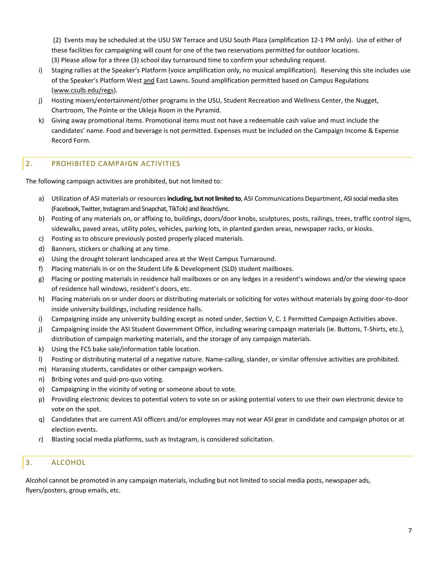(2) Events may be scheduled at the USU SW Terrace and USU South Plaza (amplification 12-1 PM only). Use of either of these facilities for campaigning will count for one of the two reservations permitted for outdoor locations. (3) Please allow for a three (3) school day turnaround time to confirm your scheduling request.

- i) Staging rallies at the Speaker's Platform (voice amplification only, no musical amplification). Reserving this site includes use of the Speaker's Platform West and East Lawns. Sound amplification permitted based on Campus Regulations [\(www.csulb.edu/regs\)](http://www.csulb.edu/regs).
- j) Hosting mixers/entertainment/other programs in the USU, Student Recreation and Wellness Center, the Nugget, Chartroom, The Pointe or the Ukleja Room in the Pyramid.
- k) Giving away promotional items. Promotional items must not have a redeemable cash value and must include the candidates' name. Food and beverage is not permitted. Expenses must be included on the Campaign Income & Expense Record Form.

## <span id="page-10-0"></span>2. PROHIBITED CAMPAIGN ACTIVITIES

The following campaign activities are prohibited, but not limited to:

- a) Utilization of ASI materials or resources including, but not limited to, ASI Communications Department, ASI social media sites (Facebook, Twitter, Instagram and Snapchat, TikTok) and BeachSync.
- b) Posting of any materials on, or affixing to, buildings, doors/door knobs, sculptures, posts, railings, trees, traffic control signs, sidewalks, paved areas, utility poles, vehicles, parking lots, in planted garden areas, newspaper racks, or kiosks.
- c) Posting as to obscure previously posted properly placed materials.
- d) Banners, stickers or chalking at any time.
- e) Using the drought tolerant landscaped area at the West Campus Turnaround.
- f) Placing materials in or on the Student Life & Development (SLD) student mailboxes.
- g) Placing or posting materials in residence hall mailboxes or on any ledges in a resident's windows and/or the viewing space of residence hall windows, resident's doors, etc.
- h) Placing materials on or under doors or distributing materials or soliciting for votes without materials by going door-to-door inside university buildings, including residence halls.
- i) Campaigning inside any university building except as noted under, Section V, C. 1 Permitted Campaign Activities above.
- j) Campaigning inside the ASI Student Government Office, including wearing campaign materials (ie. Buttons, T-Shirts, etc.), distribution of campaign marketing materials, and the storage of any campaign materials.
- k) Using the FCS bake sale/information table location.
- l) Posting or distributing material of a negative nature. Name-calling, slander, or similar offensive activities are prohibited.
- m) Harassing students, candidates or other campaign workers.
- n) Bribing votes and quid-pro-quo voting.
- o) Campaigning in the vicinity of voting or someone about to vote.
- p) Providing electronic devices to potential voters to vote on or asking potential voters to use their own electronic device to vote on the spot.
- q) Candidates that are current ASI officers and/or employees may not wear ASI gear in candidate and campaign photos or at election events.
- r) Blasting social media platforms, such as Instagram, is considered solicitation.

## <span id="page-10-1"></span>3. ALCOHOL

Alcohol cannot be promoted in any campaign materials, including but not limited to social media posts, newspaper ads, flyers/posters, group emails, etc.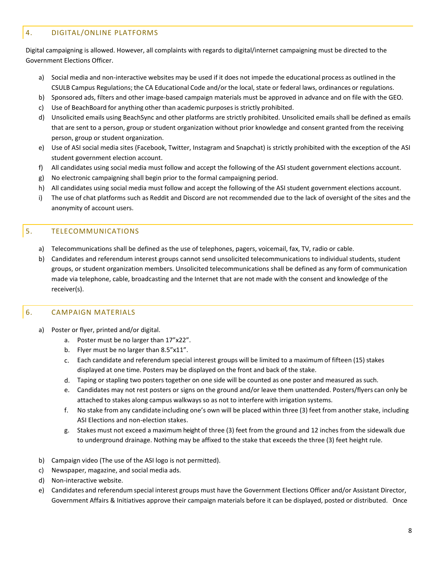# <span id="page-11-0"></span>4. DIGITAL/ONLINE PLATFORMS

Digital campaigning is allowed. However, all complaints with regards to digital/internet campaigning must be directed to the Government Elections Officer.

- a) Social media and non-interactive websites may be used if it does not impede the educational process as outlined in the CSULB Campus Regulations; the CA Educational Code and/or the local, state or federal laws, ordinances or regulations.
- b) Sponsored ads, filters and other image-based campaign materials must be approved in advance and on file with the GEO.
- c) Use of BeachBoard for anything other than academic purposesis strictly prohibited.
- d) Unsolicited emails using BeachSync and other platforms are strictly prohibited. Unsolicited emails shall be defined as emails that are sent to a person, group or student organization without prior knowledge and consent granted from the receiving person, group or student organization.
- e) Use of ASI social media sites (Facebook, Twitter, Instagram and Snapchat) is strictly prohibited with the exception of the ASI student government election account.
- f) All candidates using social media must follow and accept the following of the ASI student government elections account.
- g) No electronic campaigning shall begin prior to the formal campaigning period.
- h) All candidates using social media must follow and accept the following of the ASI student government elections account.
- i) The use of chat platforms such as Reddit and Discord are not recommended due to the lack of oversight of the sites and the anonymity of account users.

# <span id="page-11-1"></span>5. TELECOMMUNICATIONS

- a) Telecommunications shall be defined as the use of telephones, pagers, voicemail, fax, TV, radio or cable.
- b) Candidates and referendum interest groups cannot send unsolicited telecommunications to individual students, student groups, or student organization members. Unsolicited telecommunications shall be defined as any form of communication made via telephone, cable, broadcasting and the Internet that are not made with the consent and knowledge of the receiver(s).

## <span id="page-11-2"></span>6. CAMPAIGN MATERIALS

- a) Poster or flyer, printed and/or digital.
	- a. Poster must be no larger than 17"x22".
	- b. Flyer must be no larger than 8.5"x11".
	- c. Each candidate and referendum special interest groups will be limited to a maximum of fifteen (15) stakes displayed at one time. Posters may be displayed on the front and back of the stake.
	- d. Taping or stapling two posters together on one side will be counted as one poster and measured as such.
	- e. Candidates may not rest posters or signs on the ground and/or leave them unattended. Posters/flyers can only be attached to stakes along campus walkwaysso as not to interfere with irrigation systems.
	- f. No stake from any candidate including one's own will be placed within three (3) feet from another stake, including ASI Elections and non-election stakes.
	- g. Stakes must not exceed a maximum height of three (3) feet from the ground and 12 inches from the sidewalk due to underground drainage. Nothing may be affixed to the stake that exceeds the three (3) feet height rule.
- b) Campaign video (The use of the ASI logo is not permitted).
- c) Newspaper, magazine, and social media ads.
- d) Non-interactive website.
- e) Candidates and referendum special interest groups must have the Government Elections Officer and/or Assistant Director, Government Affairs & Initiatives approve their campaign materials before it can be displayed, posted or distributed. Once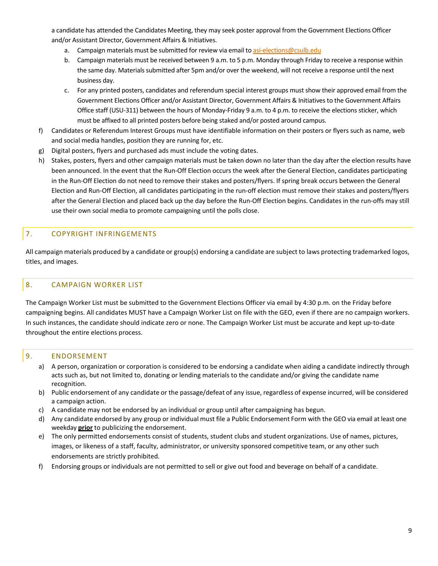a candidate has attended the Candidates Meeting, they may seek poster approval from the Government Elections Officer and/or Assistant Director, Government Affairs & Initiatives.

- a. Campaign materials must be submitted for review via email to [asi-elections@csulb.edu](mailto:asi-elections@csulb.edu)
- b. Campaign materials must be received between 9 a.m. to 5 p.m. Monday through Friday to receive a response within the same day. Materials submitted after 5pm and/or over the weekend, will not receive a response until the next business day.
- c. For any printed posters, candidates and referendum special interest groups must show their approved email from the Government Elections Officer and/or Assistant Director, Government Affairs & Initiatives to the Government Affairs Office staff (USU-311) between the hours of Monday-Friday 9 a.m. to 4 p.m. to receive the elections sticker, which must be affixed to all printed posters before being staked and/or posted around campus.
- f) Candidates or Referendum Interest Groups must have identifiable information on their posters or flyers such as name, web and social media handles, position they are running for, etc.
- g) Digital posters, flyers and purchased ads must include the voting dates.
- h) Stakes, posters, flyers and other campaign materials must be taken down no later than the day after the election results have been announced. In the event that the Run-Off Election occurs the week after the General Election, candidates participating in the Run-Off Election do not need to remove their stakes and posters/flyers. If spring break occurs between the General Election and Run-Off Election, all candidates participating in the run-off election must remove their stakes and posters/flyers after the General Election and placed back up the day before the Run-Off Election begins. Candidates in the run-offs may still use their own social media to promote campaigning until the polls close.

# <span id="page-12-0"></span>7. COPYRIGHT INFRINGEMENTS

All campaign materials produced by a candidate or group(s) endorsing a candidate are subject to laws protecting trademarked logos, titles, and images.

## <span id="page-12-1"></span>8. CAMPAIGN WORKER LIST

The Campaign Worker List must be submitted to the Government Elections Officer via email by 4:30 p.m. on the Friday before campaigning begins. All candidates MUST have a Campaign Worker List on file with the GEO, even if there are no campaign workers. In such instances, the candidate should indicate zero or none. The Campaign Worker List must be accurate and kept up-to-date throughout the entire elections process.

## <span id="page-12-2"></span>9. ENDORSEMENT

- a) A person, organization or corporation is considered to be endorsing a candidate when aiding a candidate indirectly through acts such as, but not limited to, donating or lending materials to the candidate and/or giving the candidate name recognition.
- b) Public endorsement of any candidate or the passage/defeat of any issue, regardless of expense incurred, will be considered a campaign action.
- c) A candidate may not be endorsed by an individual or group until after campaigning has begun.
- d) Any candidate endorsed by any group or individual must file a Public Endorsement Form with the GEO via email at least one weekday **prior** to publicizing the endorsement.
- e) The only permitted endorsements consist of students, student clubs and student organizations. Use of names, pictures, images, or likeness of a staff, faculty, administrator, or university sponsored competitive team, or any other such endorsements are strictly prohibited.
- f) Endorsing groups or individuals are not permitted to sell or give out food and beverage on behalf of a candidate.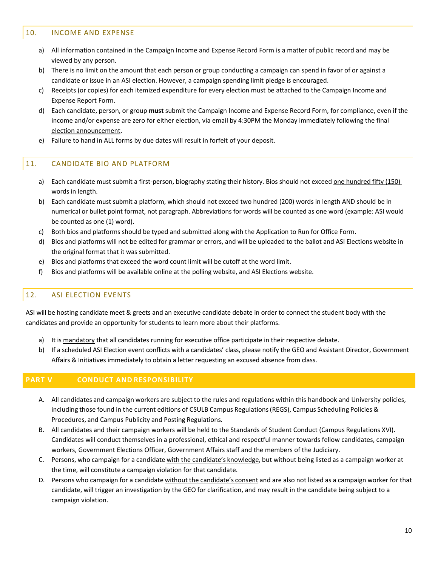## <span id="page-13-0"></span>10. INCOME AND EXPENSE

- a) All information contained in the Campaign Income and Expense Record Form is a matter of public record and may be viewed by any person.
- b) There is no limit on the amount that each person or group conducting a campaign can spend in favor of or against a candidate or issue in an ASI election. However, a campaign spending limit pledge is encouraged.
- c) Receipts (or copies) for each itemized expenditure for every election must be attached to the Campaign Income and Expense Report Form.
- d) Each candidate, person, or group **must** submit the Campaign Income and Expense Record Form, for compliance, even if the income and/or expense are zero for either election, via email by 4:30PM the Monday immediately following the final election announcement.
- e) Failure to hand in ALL forms by due dates will result in forfeit of your deposit.

# <span id="page-13-1"></span>11. CANDIDATE BIO AND PLATFORM

- a) Each candidate must submit a first-person, biography stating their history. Bios should not exceed one hundred fifty (150) words in length.
- b) Each candidate must submit a platform, which should not exceed two hundred (200) words in length AND should be in numerical or bullet point format, not paragraph. Abbreviations for words will be counted as one word (example: ASI would be counted as one (1) word).
- c) Both bios and platforms should be typed and submitted along with the Application to Run for Office Form.
- d) Bios and platforms will not be edited for grammar or errors, and will be uploaded to the ballot and ASI Elections website in the original format that it was submitted.
- e) Bios and platforms that exceed the word count limit will be cutoff at the word limit.
- f) Bios and platforms will be available online at the polling website, and ASI Elections website.

# <span id="page-13-2"></span>12. ASI ELECTION EVENTS

ASI will be hosting candidate meet & greets and an executive candidate debate in order to connect the student body with the candidates and provide an opportunity for students to learn more about their platforms.

- a) It is mandatory that all candidates running for executive office participate in their respective debate.
- b) If a scheduled ASI Election event conflicts with a candidates' class, please notify the GEO and Assistant Director, Government Affairs & Initiatives immediately to obtain a letter requesting an excused absence from class.

## <span id="page-13-3"></span>**PART V CONDUCT AND RESPONSIBILITY**

- A. All candidates and campaign workers are subject to the rules and regulations within this handbook and University policies, including those found in the current editions of CSULB Campus Regulations(REGS), Campus Scheduling Policies & Procedures, and Campus Publicity and Posting Regulations.
- B. All candidates and their campaign workers will be held to the Standards of Student Conduct (Campus Regulations XVI). Candidates will conduct themselves in a professional, ethical and respectful manner towards fellow candidates, campaign workers, Government Elections Officer, Government Affairs staff and the members of the Judiciary.
- C. Persons, who campaign for a candidate with the candidate's knowledge, but without being listed as a campaign worker at the time, will constitute a campaign violation for that candidate.
- D. Persons who campaign for a candidate without the candidate's consent and are also not listed as a campaign worker for that candidate, will trigger an investigation by the GEO for clarification, and may result in the candidate being subject to a campaign violation.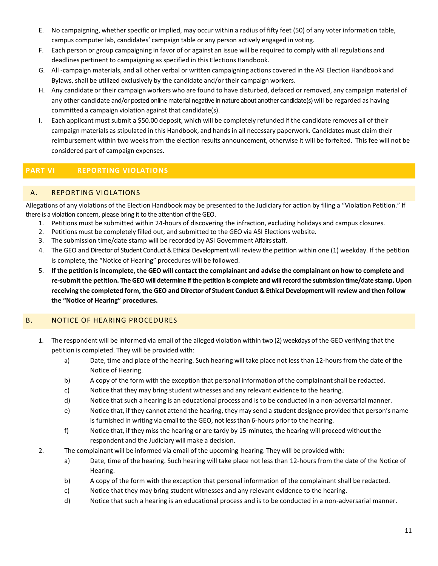- E. No campaigning, whetherspecific or implied, may occur within a radius of fifty feet (50) of any voter information table, campus computer lab, candidates' campaign table or any person actively engaged in voting.
- F. Each person or group campaigning in favor of or against an issue will be required to comply with all regulations and deadlines pertinent to campaigning as specified in this Elections Handbook.
- G. All -campaign materials, and all other verbal or written campaigning actions covered in the ASI Election Handbook and Bylaws, shall be utilized exclusively by the candidate and/or their campaign workers.
- H. Any candidate or their campaign workers who are found to have disturbed, defaced or removed, any campaign material of any other candidate and/or posted online material negative in nature about another candidate(s) will be regarded as having committed a campaign violation against that candidate(s).
- I. Each applicant must submit a \$50.00 deposit, which will be completely refunded if the candidate removes all of their campaign materials as stipulated in this Handbook, and hands in all necessary paperwork. Candidates must claim their reimbursement within two weeks from the election results announcement, otherwise it will be forfeited. This fee will not be considered part of campaign expenses.

# <span id="page-14-0"></span>**PART VI REPORTING VIOLATIONS**

# <span id="page-14-1"></span>A. REPORTING VIOLATIONS

Allegations of any violations of the Election Handbook may be presented to the Judiciary for action by filing a "Violation Petition." If there is a violation concern, please bring it to the attention of the GEO.

- 1. Petitions must be submitted within 24-hours of discovering the infraction, excluding holidays and campus closures.
- 2. Petitions must be completely filled out, and submitted to the GEO via ASI Elections website.
- 3. The submission time/date stamp will be recorded by ASI Government Affairs staff.
- 4. The GEO and Director of Student Conduct & Ethical Development will review the petition within one (1) weekday. If the petition is complete, the "Notice of Hearing" procedures will be followed.
- 5. If the petition is incomplete, the GEO will contact the complainant and advise the complainant on how to complete and **re-submit the petition. The GEO will determine if the petition is complete and will record the submission time/date stamp. Upon receiving the completed form, the GEO and Director of Student Conduct & Ethical Development will review and then follow the "Notice of Hearing" procedures.**

# <span id="page-14-2"></span>B. NOTICE OF HEARING PROCEDURES

- 1. The respondent will be informed via email of the alleged violation within two (2) weekdays of the GEO verifying that the petition is completed. They will be provided with:
	- a) Date, time and place of the hearing. Such hearing will take place not less than 12-hoursfrom the date of the Notice of Hearing.
	- b) A copy of the form with the exception that personal information of the complainantshall be redacted.
	- c) Notice that they may bring student witnesses and any relevant evidence to the hearing.
	- d) Notice that such a hearing is an educational process and is to be conducted in a non-adversarialmanner.
	- e) Notice that, if they cannot attend the hearing, they may send a student designee provided that person's name is furnished in writing via email to the GEO, not less than 6-hours prior to the hearing.
	- f) Notice that, if they missthe hearing or are tardy by 15-minutes, the hearing will proceed without the respondent and the Judiciary will make a decision.
- 2. The complainant will be informed via email of the upcoming hearing. They will be provided with:
	- a) Date, time of the hearing. Such hearing will take place not less than 12-hours from the date of the Notice of Hearing.
	- b) A copy of the form with the exception that personal information of the complainant shall be redacted.
	- c) Notice that they may bring student witnesses and any relevant evidence to the hearing.
	- d) Notice that such a hearing is an educational process and is to be conducted in a non-adversarial manner.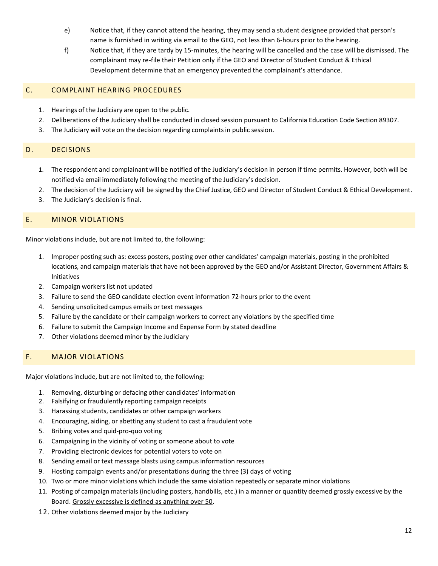- e) Notice that, if they cannot attend the hearing, they may send a student designee provided that person's name is furnished in writing via email to the GEO, not less than 6-hours prior to the hearing.
- f) Notice that, if they are tardy by 15-minutes, the hearing will be cancelled and the case will be dismissed. The complainant may re-file their Petition only if the GEO and Director of Student Conduct & Ethical Development determine that an emergency prevented the complainant's attendance.

## <span id="page-15-0"></span>C. COMPLAINT HEARING PROCEDURES

- 1. Hearings of the Judiciary are open to the public.
- 2. Deliberations of the Judiciary shall be conducted in closed session pursuant to California Education Code Section 89307.
- 3. The Judiciary will vote on the decision regarding complaints in public session.

## <span id="page-15-1"></span>D. DECISIONS

- 1. The respondent and complainant will be notified of the Judiciary's decision in person if time permits. However, both will be notified via email immediately following the meeting of the Judiciary's decision.
- 2. The decision of the Judiciary will be signed by the Chief Justice, GEO and Director of Student Conduct & Ethical Development.
- 3. The Judiciary's decision is final.

#### <span id="page-15-2"></span>E. MINOR VIOLATIONS

Minor violations include, but are not limited to, the following:

- 1. Improper posting such as: excess posters, posting over other candidates' campaign materials, posting in the prohibited locations, and campaign materials that have not been approved by the GEO and/or Assistant Director, Government Affairs & Initiatives
- 2. Campaign workers list not updated
- 3. Failure to send the GEO candidate election event information 72-hours prior to the event
- 4. Sending unsolicited campus emails or text messages
- 5. Failure by the candidate or their campaign workers to correct any violations by the specified time
- 6. Failure to submit the Campaign Income and Expense Form by stated deadline
- 7. Other violations deemed minor by the Judiciary

## <span id="page-15-3"></span>F. MAJOR VIOLATIONS

Major violations include, but are not limited to, the following:

- 1. Removing, disturbing or defacing other candidates' information
- 2. Falsifying or fraudulently reporting campaign receipts
- 3. Harassing students, candidates or other campaign workers
- 4. Encouraging, aiding, or abetting any student to cast a fraudulent vote
- 5. Bribing votes and quid-pro-quo voting
- 6. Campaigning in the vicinity of voting or someone about to vote
- 7. Providing electronic devices for potential voters to vote on
- 8. Sending email or text message blasts using campus information resources
- 9. Hosting campaign events and/or presentations during the three (3) days of voting
- 10. Two or more minor violations which include the same violation repeatedly or separate minor violations
- 11. Posting of campaign materials (including posters, handbills, etc.) in a manner or quantity deemed grossly excessive by the Board. Grossly excessive is defined as anything over 50.
- 12. Other violations deemed major by the Judiciary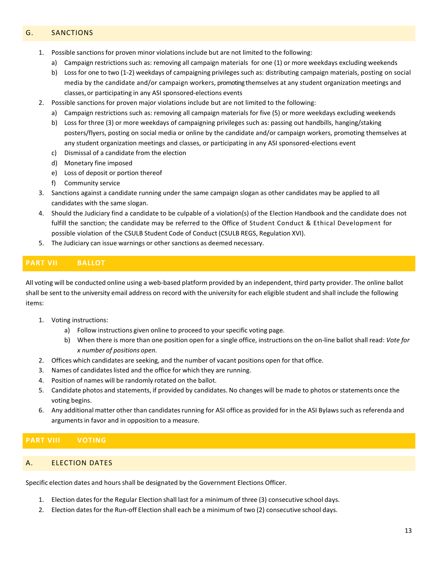## <span id="page-16-0"></span>G. SANCTIONS

- 1. Possible sanctions for proven minor violationsinclude but are not limited to the following:
	- a) Campaign restrictions such as: removing all campaign materials for one (1) or more weekdays excluding weekends
	- b) Loss for one to two (1-2) weekdays of campaigning privileges such as: distributing campaign materials, posting on social media by the candidate and/or campaign workers, promoting themselves at any student organization meetings and classes, or participating in any ASI sponsored-elections events
- 2. Possible sanctions for proven major violations include but are not limited to the following:
	- a) Campaign restrictions such as: removing all campaign materials for five (5) or more weekdays excluding weekends
	- b) Loss for three (3) or more weekdays of campaigning privileges such as: passing out handbills, hanging/staking posters/flyers, posting on social media or online by the candidate and/or campaign workers, promoting themselves at any student organization meetings and classes, or participating in any ASI sponsored-elections event
	- c) Dismissal of a candidate from the election
	- d) Monetary fine imposed
	- e) Loss of deposit or portion thereof
	- f) Community service
- 3. Sanctions against a candidate running under the same campaign slogan as other candidates may be applied to all candidates with the same slogan.
- 4. Should the Judiciary find a candidate to be culpable of a violation(s) of the Election Handbook and the candidate does not fulfill the sanction; the candidate may be referred to the Office of Student Conduct & Ethical Development for possible violation of the CSULB Student Code of Conduct (CSULB REGS, Regulation XVI).
- 5. The Judiciary can issue warnings or other sanctions as deemed necessary.

# <span id="page-16-1"></span>**PART VII BALLOT**

All voting will be conducted online using a web-based platform provided by an independent, third party provider. The online ballot shall be sent to the university email address on record with the university for each eligible student and shall include the following items:

- 1. Voting instructions:
	- a) Follow instructions given online to proceed to your specific voting page.
	- b) When there is more than one position open for a single office, instructions on the on-line ballot shall read: *Vote for x number of positions open.*
- 2. Offices which candidates are seeking, and the number of vacant positions open for that office.
- 3. Names of candidates listed and the office for which they are running.
- 4. Position of names will be randomly rotated on the ballot.
- 5. Candidate photos and statements, if provided by candidates. No changes will be made to photos or statements once the voting begins.
- 6. Any additional matter other than candidates running for ASI office as provided for in the ASI Bylaws such as referenda and arguments in favor and in opposition to a measure.

## <span id="page-16-2"></span>**PART VIII VOTING**

## <span id="page-16-3"></span>A. ELECTION DATES

Specific election dates and hours shall be designated by the Government Elections Officer.

- 1. Election dates for the Regular Election shall last for a minimum of three (3) consecutive school days.
- 2. Election dates for the Run-off Election shall each be a minimum of two (2) consecutive school days.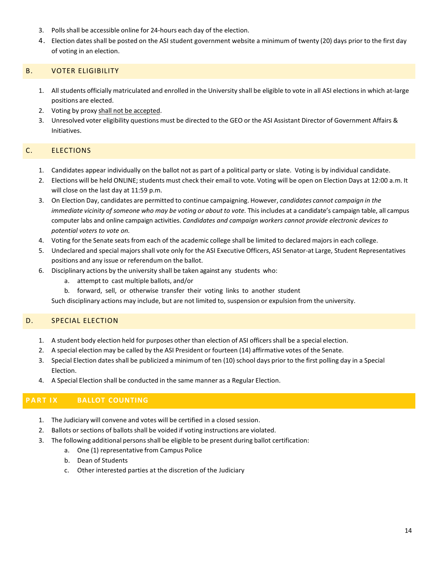- 3. Polls shall be accessible online for 24-hours each day of the election.
- 4. Election dates shall be posted on the ASI student government website a minimum of twenty (20) days prior to the first day of voting in an election.

## <span id="page-17-0"></span>B. VOTER ELIGIBILITY

- 1. All students officially matriculated and enrolled in the University shall be eligible to vote in all ASI electionsin which at-large positions are elected.
- 2. Voting by proxy shall not be accepted.
- 3. Unresolved voter eligibility questions must be directed to the GEO or the ASI Assistant Director of Government Affairs & Initiatives.

## <span id="page-17-1"></span>C. ELECTIONS

- 1. Candidates appear individually on the ballot not as part of a political party or slate. Voting is by individual candidate.
- 2. Elections will be held ONLINE; students must check their email to vote. Voting will be open on Election Days at 12:00 a.m. It will close on the last day at 11:59 p.m.
- 3. On Election Day, candidates are permitted to continue campaigning. However, *candidates cannot campaign in the immediate vicinity of someone who may be voting or about to vote.* This includes at a candidate's campaign table, all campus computer labs and online campaign activities. *Candidates and campaign workers cannot provide electronic devices to potential voters to vote on.*
- 4. Voting for the Senate seats from each of the academic college shall be limited to declared majorsin each college.
- 5. Undeclared and special majorsshall vote only for the ASI Executive Officers, ASI Senator-at Large, Student Representatives positions and any issue or referendum on the ballot.
- 6. Disciplinary actions by the university shall be taken against any students who:
	- a. attempt to cast multiple ballots, and/or
	- b. forward, sell, or otherwise transfer their voting links to another student

Such disciplinary actions may include, but are not limited to, suspension or expulsion from the university.

## <span id="page-17-2"></span>D. SPECIAL ELECTION

- 1. A student body election held for purposes other than election of ASI officersshall be a special election.
- 2. A special election may be called by the ASI President or fourteen (14) affirmative votes of the Senate.
- 3. Special Election dates shall be publicized a minimum of ten (10) school days prior to the first polling day in a Special Election.
- 4. A Special Election shall be conducted in the same manner as a Regular Election.

## <span id="page-17-3"></span>**PART I X BALLOT COUNTING**

- 1. The Judiciary will convene and votes will be certified in a closed session.
- 2. Ballots or sections of ballots shall be voided if voting instructions are violated.
- 3. The following additional persons shall be eligible to be present during ballot certification:
	- a. One (1) representative from Campus Police
	- b. Dean of Students
	- c. Other interested parties at the discretion of the Judiciary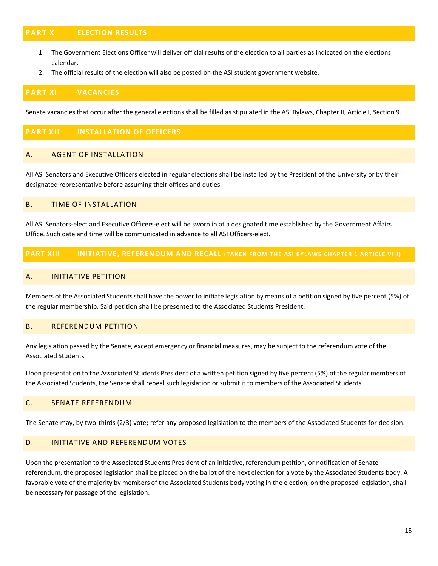## <span id="page-18-0"></span>**PART X ELECTION RESULTS**

- 1. The Government Elections Officer will deliver official results of the election to all parties as indicated on the elections calendar.
- 2. The official results of the election will also be posted on the ASI student government website.

#### <span id="page-18-1"></span>**PART XI VACANCIES**

Senate vacanciesthat occur after the general elections shall be filled as stipulated in the ASI Bylaws, Chapter II, Article I, Section 9.

## <span id="page-18-2"></span>**PART XII INSTALLATION OF OFFICERS**

#### <span id="page-18-3"></span>A. AGENT OF INSTALLATION

All ASI Senators and Executive Officers elected in regular elections shall be installed by the President of the University or by their designated representative before assuming their offices and duties.

#### <span id="page-18-4"></span>B. TIME OF INSTALLATION

All ASI Senators-elect and Executive Officers-elect will be sworn in at a designated time established by the Government Affairs Office. Such date and time will be communicated in advance to all ASI Officers-elect.

#### <span id="page-18-6"></span><span id="page-18-5"></span>**PART XIII INITIATIVE, REFERENDUM AND RECALL (TAKEN FROM THE ASI BYLAWS CHAPTER 1 ARTICLE VIII)**

#### A. INITIATIVE PETITION

Members of the Associated Students shall have the power to initiate legislation by means of a petition signed by five percent (5%) of the regular membership. Said petition shall be presented to the Associated Students President.

#### <span id="page-18-7"></span>B. REFERENDUM PETITION

Any legislation passed by the Senate, except emergency or financial measures, may be subject to the referendum vote of the Associated Students.

Upon presentation to the Associated Students President of a written petition signed by five percent (5%) of the regular members of the Associated Students, the Senate shall repeal such legislation or submit it to members of the Associated Students.

#### <span id="page-18-8"></span>C. SENATE REFERENDUM

The Senate may, by two-thirds (2/3) vote; refer any proposed legislation to the members of the Associated Students for decision.

#### <span id="page-18-9"></span>D. INITIATIVE AND REFERENDUM VOTES

Upon the presentation to the Associated Students President of an initiative, referendum petition, or notification of Senate referendum, the proposed legislation shall be placed on the ballot of the next election for a vote by the Associated Students body. A favorable vote of the majority by members of the Associated Students body voting in the election, on the proposed legislation, shall be necessary for passage of the legislation.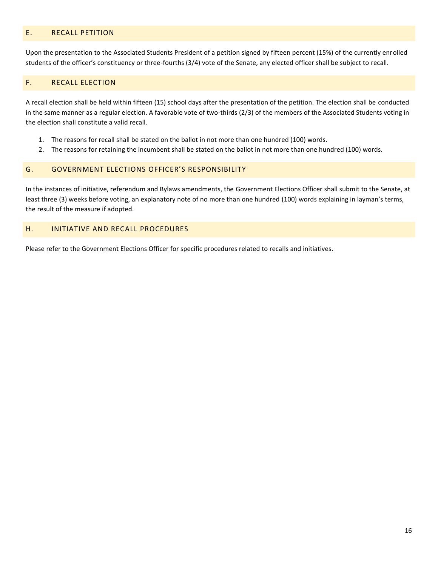## <span id="page-19-0"></span>E. RECALL PETITION

Upon the presentation to the Associated Students President of a petition signed by fifteen percent (15%) of the currently enrolled students of the officer's constituency or three-fourths (3/4) vote of the Senate, any elected officer shall be subject to recall.

#### <span id="page-19-1"></span>F. RECALL ELECTION

A recall election shall be held within fifteen (15) school days after the presentation of the petition. The election shall be conducted in the same manner as a regular election. A favorable vote of two-thirds (2/3) of the members of the Associated Students voting in the election shall constitute a valid recall.

- 1. The reasons for recall shall be stated on the ballot in not more than one hundred (100) words.
- 2. The reasons for retaining the incumbent shall be stated on the ballot in not more than one hundred (100) words.

#### <span id="page-19-2"></span>G. GOVERNMENT ELECTIONS OFFICER'S RESPONSIBILITY

In the instances of initiative, referendum and Bylaws amendments, the Government Elections Officer shall submit to the Senate, at least three (3) weeks before voting, an explanatory note of no more than one hundred (100) words explaining in layman's terms, the result of the measure if adopted.

# <span id="page-19-3"></span>H. INITIATIVE AND RECALL PROCEDURES

Please refer to the Government Elections Officer for specific procedures related to recalls and initiatives.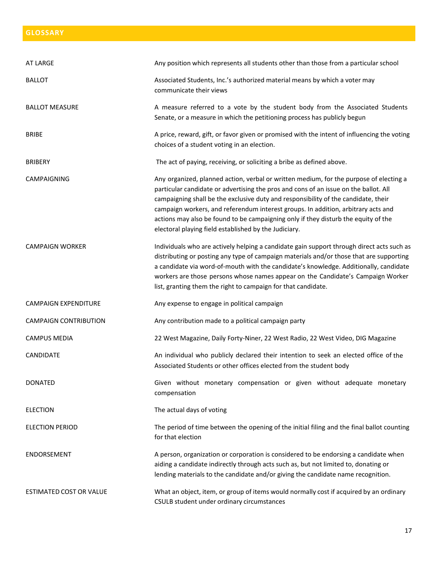# <span id="page-20-0"></span>**GLOSSARY**

| AT LARGE                     | Any position which represents all students other than those from a particular school                                                                                                                                                                                                                                                                                                                                                                                                                     |
|------------------------------|----------------------------------------------------------------------------------------------------------------------------------------------------------------------------------------------------------------------------------------------------------------------------------------------------------------------------------------------------------------------------------------------------------------------------------------------------------------------------------------------------------|
| <b>BALLOT</b>                | Associated Students, Inc.'s authorized material means by which a voter may<br>communicate their views                                                                                                                                                                                                                                                                                                                                                                                                    |
| <b>BALLOT MEASURE</b>        | A measure referred to a vote by the student body from the Associated Students<br>Senate, or a measure in which the petitioning process has publicly begun                                                                                                                                                                                                                                                                                                                                                |
| <b>BRIBE</b>                 | A price, reward, gift, or favor given or promised with the intent of influencing the voting<br>choices of a student voting in an election.                                                                                                                                                                                                                                                                                                                                                               |
| <b>BRIBERY</b>               | The act of paying, receiving, or soliciting a bribe as defined above.                                                                                                                                                                                                                                                                                                                                                                                                                                    |
| <b>CAMPAIGNING</b>           | Any organized, planned action, verbal or written medium, for the purpose of electing a<br>particular candidate or advertising the pros and cons of an issue on the ballot. All<br>campaigning shall be the exclusive duty and responsibility of the candidate, their<br>campaign workers, and referendum interest groups. In addition, arbitrary acts and<br>actions may also be found to be campaigning only if they disturb the equity of the<br>electoral playing field established by the Judiciary. |
| <b>CAMPAIGN WORKER</b>       | Individuals who are actively helping a candidate gain support through direct acts such as<br>distributing or posting any type of campaign materials and/or those that are supporting<br>a candidate via word-of-mouth with the candidate's knowledge. Additionally, candidate<br>workers are those persons whose names appear on the Candidate's Campaign Worker<br>list, granting them the right to campaign for that candidate.                                                                        |
| <b>CAMPAIGN EXPENDITURE</b>  | Any expense to engage in political campaign                                                                                                                                                                                                                                                                                                                                                                                                                                                              |
| <b>CAMPAIGN CONTRIBUTION</b> | Any contribution made to a political campaign party                                                                                                                                                                                                                                                                                                                                                                                                                                                      |
| <b>CAMPUS MEDIA</b>          | 22 West Magazine, Daily Forty-Niner, 22 West Radio, 22 West Video, DIG Magazine                                                                                                                                                                                                                                                                                                                                                                                                                          |
| CANDIDATE                    | An individual who publicly declared their intention to seek an elected office of the<br>Associated Students or other offices elected from the student body                                                                                                                                                                                                                                                                                                                                               |
| <b>DONATED</b>               | Given without monetary compensation or given without adequate monetary<br>compensation                                                                                                                                                                                                                                                                                                                                                                                                                   |
| <b>ELECTION</b>              | The actual days of voting                                                                                                                                                                                                                                                                                                                                                                                                                                                                                |
| <b>ELECTION PERIOD</b>       | The period of time between the opening of the initial filing and the final ballot counting<br>for that election                                                                                                                                                                                                                                                                                                                                                                                          |
| ENDORSEMENT                  | A person, organization or corporation is considered to be endorsing a candidate when<br>aiding a candidate indirectly through acts such as, but not limited to, donating or<br>lending materials to the candidate and/or giving the candidate name recognition.                                                                                                                                                                                                                                          |
| ESTIMATED COST OR VALUE      | What an object, item, or group of items would normally cost if acquired by an ordinary<br>CSULB student under ordinary circumstances                                                                                                                                                                                                                                                                                                                                                                     |